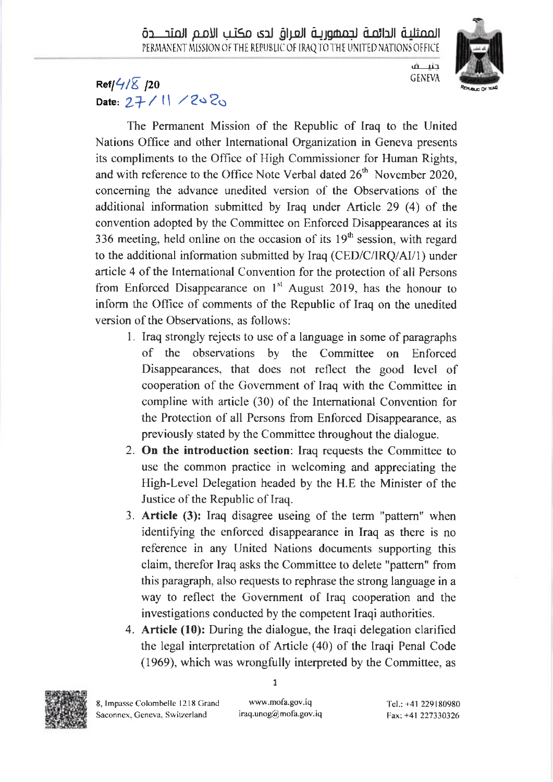

حنب ف **GENEVA** 

## Ref $\frac{1}{4}$  $\sqrt{2}$  /20 Date:  $27/11 / 2020$

The Permanent Mission of the Republic of Iraq to the United Nations Office and other Intemational Organization in Geneva presents its compliments to the Office of High Commissioner for Human Rights, and with reference to the Office Note Verbal dated  $26<sup>th</sup>$  November 2020, concerning the advance unedited version of the Observations of the additional information submitted by Iraq under Article 29 (4) of the convention adopted by the Committee on Enforced Disappearances at its 336 meeting, held online on the occasion of its  $19<sup>th</sup>$  session, with regard to the additional information submitted by Iraq (CED/C/IRQ/AI/1) under article 4 of the Intemational Convention for the protection of all Persons from Enforced Disappearance on  $1<sup>st</sup>$  August 2019, has the honour to inform the Office of comments of the Republic of Iraq on the unedited version of the Observations. as follows:

- 1. Iraq strongly rejects to use ofa language in some of paragraphs of the observations by the Committee on Enforced Disappearances, that does not reflect the good level of cooperation of the Covemment of Iraq with the Committee in compline with article (30) of the Intemational Convention for the Protection of all Persons from Enforced Disappearance, as previously stated by the Committee throughout the dialogue.
- 2. On the introduction section: Iraq requests the Committee to use the common practice in welcoming and appreciating the High-Level Delegation headed by the H.E the Minister of the Justice of the Republic of Iraq.
- 3. Article (3): Iraq disagree useing of the term "pattem" when identifying the enforced disappearance in Iraq as there is no reference in any United Nations documents supporting this claim, therefor Iraq asks the Committee to delete "pattern" from this paragraph, also requests to rephrase the strong language in a way to reflect the Government of Iraq cooperation and the investigations conducted by the competent Iraqi authorities.
- 4. Article (10): During the dialogue, the Iraqi delegation clarified the legal interpretation of Article (40) of the Iraqi Penal Code (1969), which was wrongfully interpreted by the Committee, as



1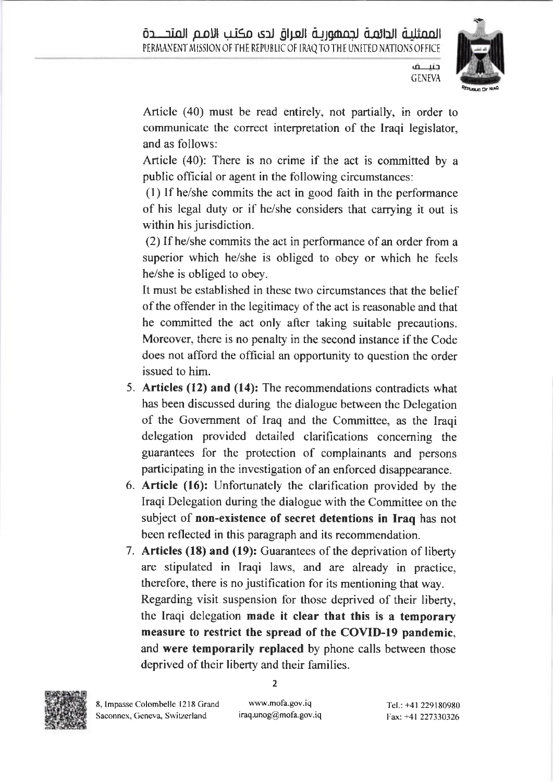

**GENEVA** 

حتباف

Article (40) must be read entirely, not partially, in order to communicate the correct interpretation of the Iraqi legislator, and as follows:

Article (40): There is no crime if the act is committed by <sup>a</sup> public official or agent in the following circumstances:

(l) If he/she commits the act in good faith in the performance of his legal duty or if he/she considers that carrying it out is within his jurisdiction.

(2) If he/she commits the act in performance of an order from <sup>a</sup> superior which he/she is obliged to obey or which he feels he/she is obliged to obey.

It must be established in these two circumstances that the belief of the offender in the legitimacy of the act is reasonable and that he committed the act only after taking suitable precautions. Moreover, there is no penalty in the second instance if the Code does not afford the official an opportunity to question the order issued to him.

- 5. Articles (12) and (14): The recommendations contradicts what has been discussed during the dialogue between the Delegation of the Govemment of Iraq and the Committee, as the Iraqi delegation provided detailed clarifications conceming the guarantees for the protection of complainants and persons participating in the investigation of an enforced disappearance.
- 6. Article (16): Unfortunately the clarification provided by the Iraqi Delegation during the dialogue with the Committee on the subject of non-existence of secret detentions in Iraq has not been reflected in this paragraph and its recommendation.
- 7. Articles (18) and (19): Guarantees of the deprivation of liberty are stipulated in Iraqi laws, and are already in practice, therefore, there is no justification for its mentioning that way. Regarding visit suspension for those deprived of their liberty, the Iraqi delegation made it clear that this is a temporary measure to restrict the spread of the COVID-I9 pandemic, and were temporarily replaced by phone calls between those deprived of their liberty and their families.



2